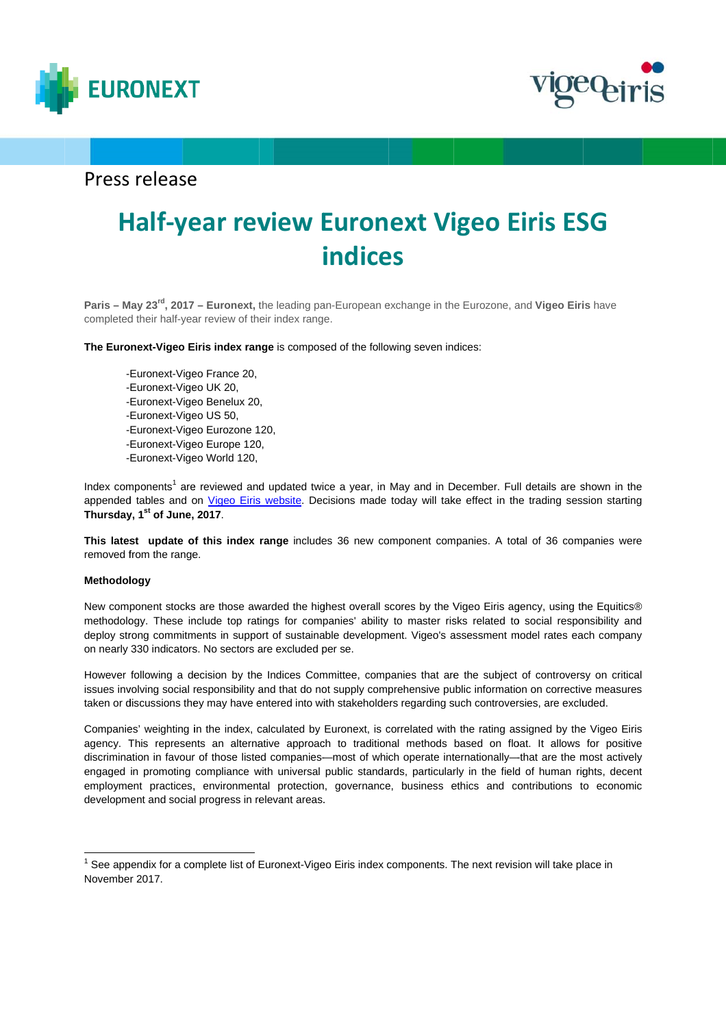



## Press release

# **Half-year review Euronext Vigeo Eiris ESG i indice es**

Paris – May 23<sup>rd</sup>, 2017 – Euronext, the leading pan-European exchange in the Eurozone, and Vigeo Eiris have completed their half-year review of their index range.

**The Euronext-Vigeo Eiris index range** is composed of the following seven indices:

-Euronext-Vigeo France 20, -Euronext-Vigeo UK 20, -Euronext-Vigeo Benelux 20, -Euronext-Vigeo US 50, -Euronext-Vigeo Eurozone 120, -Euronext-Vigeo Europe 120, -Euronext-Vigeo World 120,

Index components<sup>1</sup> are reviewed and updated twice a year, in May and in December. Full details are shown in the appended tables and on *Vigeo Eiris website*. Decisions made today will take effect in the trading session starting **Thursday y, 1st of June, 2017**.

This latest update of this index range includes 36 new component companies. A total of 36 companies were removed from the range.

### **Methodol logy**

New component stocks are those awarded the highest overall scores by the Vigeo Eiris agency, using the Equitics® methodology. These include top ratings for companies' ability to master risks related to social responsibility and deploy strong commitments in support of sustainable development. Vigeo's assessment model rates each company on nearly 330 indicators s. No sectors a are excluded p per se.

However following a decision by the Indices Committee, companies that are the subject of controversy on critical issues involving social responsibility and that do not supply comprehensive public information on corrective measures taken or discussions they may have entered into with stakeholders regarding such controversies, are excluded.

Companies' weighting in the index, calculated by Euronext, is correlated with the rating assigned by the Vigeo Eiris agency. This represents an alternative approach to traditional methods based on float. It allows for positive discrimination in favour of those listed companies—most of which operate internationally—that are the most actively engaged in promoting compliance with universal public standards, particularly in the field of human rights, decent employment practices, environmental protection, governance, business ethics and contributions to economic development and social progress in relevant areas.

<sup>1</sup> See app pendix for a co omplete list of E Euronext-Vige .eo Eiris index c components. T The next revis ion will take pl lace in Novembe r 2017.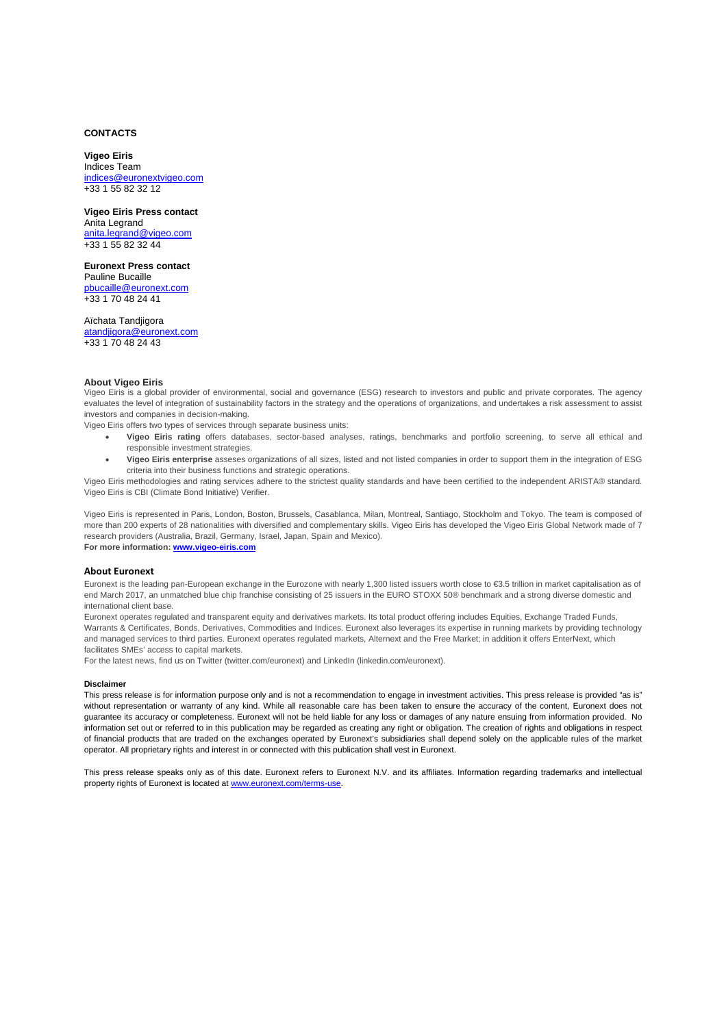### **CONTACTS**

### **Vigeo Eiris**  Indices Team indices@euronextvigeo.com +33 1 55 82 32 12

**Vigeo Eiris Press contact**  Anita Legrand anita.legrand@vigeo.com +33 1 55 82 32 44

**Euronext Press contact**  Pauline Bucaille pbucaille@euronext.com +33 1 70 48 24 41

Aïchata Tandjigora atandjigora@euronext.com +33 1 70 48 24 43

### **About Vigeo Eiris**

Vigeo Eiris is a global provider of environmental, social and governance (ESG) research to investors and public and private corporates. The agency evaluates the level of integration of sustainability factors in the strategy and the operations of organizations, and undertakes a risk assessment to assist investors and companies in decision-making.

Vigeo Eiris offers two types of services through separate business units:

- **Vigeo Eiris rating** offers databases, sector-based analyses, ratings, benchmarks and portfolio screening, to serve all ethical and responsible investment strategies.
- **Vigeo Eiris enterprise** asseses organizations of all sizes, listed and not listed companies in order to support them in the integration of ESG criteria into their business functions and strategic operations.

Vigeo Eiris methodologies and rating services adhere to the strictest quality standards and have been certified to the independent ARISTA® standard. Vigeo Eiris is CBI (Climate Bond Initiative) Verifier.

Vigeo Eiris is represented in Paris, London, Boston, Brussels, Casablanca, Milan, Montreal, Santiago, Stockholm and Tokyo. The team is composed of more than 200 experts of 28 nationalities with diversified and complementary skills. Vigeo Eiris has developed the Vigeo Eiris Global Network made of 7 research providers (Australia, Brazil, Germany, Israel, Japan, Spain and Mexico).

**For more information: www.vigeo-eiris.com**

### **About Euronext**

Euronext is the leading pan-European exchange in the Eurozone with nearly 1,300 listed issuers worth close to €3.5 trillion in market capitalisation as of end March 2017, an unmatched blue chip franchise consisting of 25 issuers in the EURO STOXX 50® benchmark and a strong diverse domestic and international client base.

Euronext operates regulated and transparent equity and derivatives markets. Its total product offering includes Equities, Exchange Traded Funds, Warrants & Certificates, Bonds, Derivatives, Commodities and Indices. Euronext also leverages its expertise in running markets by providing technology and managed services to third parties. Euronext operates regulated markets, Alternext and the Free Market; in addition it offers EnterNext, which facilitates SMEs' access to capital markets.

For the latest news, find us on Twitter (twitter.com/euronext) and LinkedIn (linkedin.com/euronext).

#### **Disclaimer**

This press release is for information purpose only and is not a recommendation to engage in investment activities. This press release is provided "as is" without representation or warranty of any kind. While all reasonable care has been taken to ensure the accuracy of the content, Euronext does not guarantee its accuracy or completeness. Euronext will not be held liable for any loss or damages of any nature ensuing from information provided. No information set out or referred to in this publication may be regarded as creating any right or obligation. The creation of rights and obligations in respect of financial products that are traded on the exchanges operated by Euronext's subsidiaries shall depend solely on the applicable rules of the market operator. All proprietary rights and interest in or connected with this publication shall vest in Euronext.

This press release speaks only as of this date. Euronext refers to Euronext N.V. and its affiliates. Information regarding trademarks and intellectual property rights of Euronext is located at www.euronext.com/terms-use.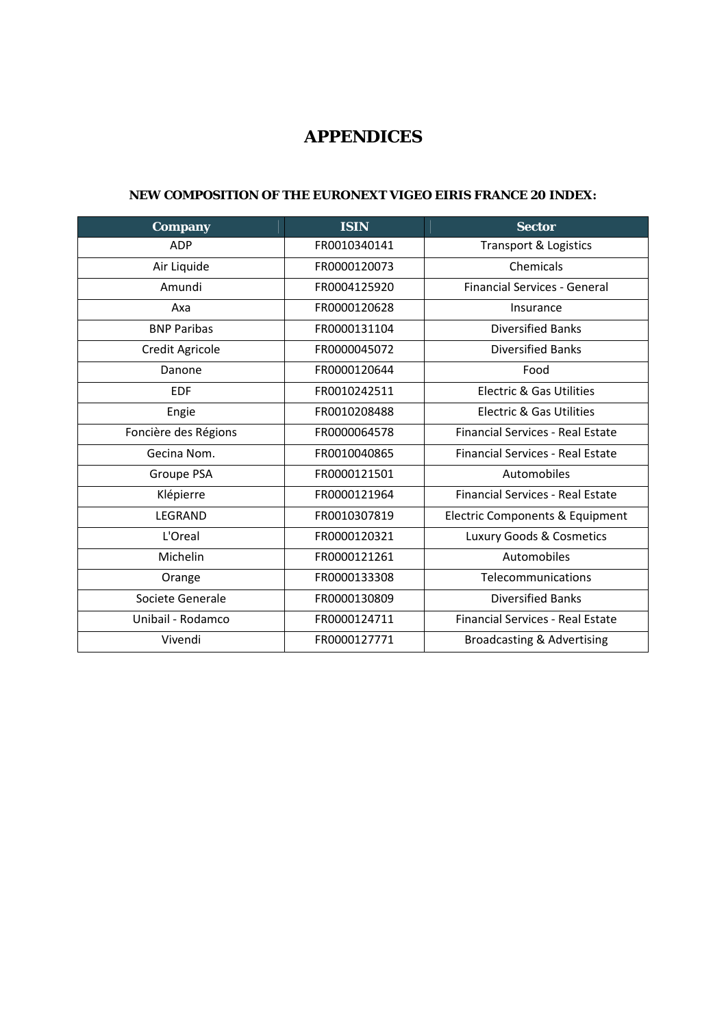## **APPENDICES**

### **NEW COMPOSITION OF THE EURONEXT VIGEO EIRIS FRANCE 20 INDEX:**

| Company              | <b>ISIN</b>  | <b>Sector</b>                           |
|----------------------|--------------|-----------------------------------------|
| <b>ADP</b>           | FR0010340141 | <b>Transport &amp; Logistics</b>        |
| Air Liquide          | FR0000120073 | Chemicals                               |
| Amundi               | FR0004125920 | <b>Financial Services - General</b>     |
| Axa                  | FR0000120628 | Insurance                               |
| <b>BNP Paribas</b>   | FR0000131104 | <b>Diversified Banks</b>                |
| Credit Agricole      | FR0000045072 | <b>Diversified Banks</b>                |
| Danone               | FR0000120644 | Food                                    |
| <b>EDF</b>           | FR0010242511 | <b>Electric &amp; Gas Utilities</b>     |
| Engie                | FR0010208488 | Electric & Gas Utilities                |
| Foncière des Régions | FR0000064578 | Financial Services - Real Estate        |
| Gecina Nom.          | FR0010040865 | <b>Financial Services - Real Estate</b> |
| Groupe PSA           | FR0000121501 | Automobiles                             |
| Klépierre            | FR0000121964 | <b>Financial Services - Real Estate</b> |
| <b>LEGRAND</b>       | FR0010307819 | Electric Components & Equipment         |
| L'Oreal              | FR0000120321 | Luxury Goods & Cosmetics                |
| Michelin             | FR0000121261 | Automobiles                             |
| Orange               | FR0000133308 | Telecommunications                      |
| Societe Generale     | FR0000130809 | <b>Diversified Banks</b>                |
| Unibail - Rodamco    | FR0000124711 | <b>Financial Services - Real Estate</b> |
| Vivendi              | FR0000127771 | <b>Broadcasting &amp; Advertising</b>   |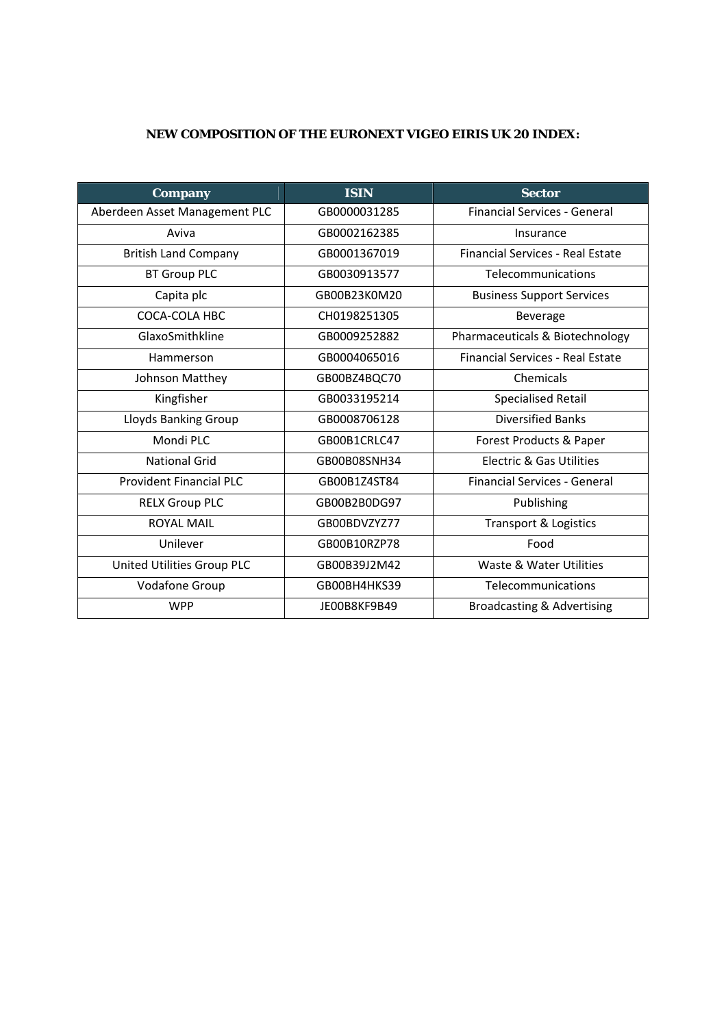## **NEW COMPOSITION OF THE EURONEXT VIGEO EIRIS UK 20 INDEX:**

| <b>Company</b>                 | <b>ISIN</b>  | <b>Sector</b>                           |
|--------------------------------|--------------|-----------------------------------------|
| Aberdeen Asset Management PLC  | GB0000031285 | <b>Financial Services - General</b>     |
| Aviva                          | GB0002162385 | Insurance                               |
| <b>British Land Company</b>    | GB0001367019 | <b>Financial Services - Real Estate</b> |
| <b>BT Group PLC</b>            | GB0030913577 | Telecommunications                      |
| Capita plc                     | GB00B23K0M20 | <b>Business Support Services</b>        |
| COCA-COLA HBC                  | CH0198251305 | <b>Beverage</b>                         |
| GlaxoSmithkline                | GB0009252882 | Pharmaceuticals & Biotechnology         |
| Hammerson                      | GB0004065016 | <b>Financial Services - Real Estate</b> |
| Johnson Matthey                | GB00BZ4BQC70 | Chemicals                               |
| Kingfisher                     | GB0033195214 | <b>Specialised Retail</b>               |
| <b>Lloyds Banking Group</b>    | GB0008706128 | <b>Diversified Banks</b>                |
| Mondi PLC                      | GB00B1CRLC47 | Forest Products & Paper                 |
| National Grid                  | GB00B08SNH34 | <b>Electric &amp; Gas Utilities</b>     |
| <b>Provident Financial PLC</b> | GB00B1Z4ST84 | Financial Services - General            |
| <b>RELX Group PLC</b>          | GB00B2B0DG97 | Publishing                              |
| <b>ROYAL MAIL</b>              | GB00BDVZYZ77 | <b>Transport &amp; Logistics</b>        |
| Unilever                       | GB00B10RZP78 | Food                                    |
| United Utilities Group PLC     | GB00B39J2M42 | Waste & Water Utilities                 |
| Vodafone Group                 | GB00BH4HKS39 | Telecommunications                      |
| <b>WPP</b>                     | JE00B8KF9B49 | Broadcasting & Advertising              |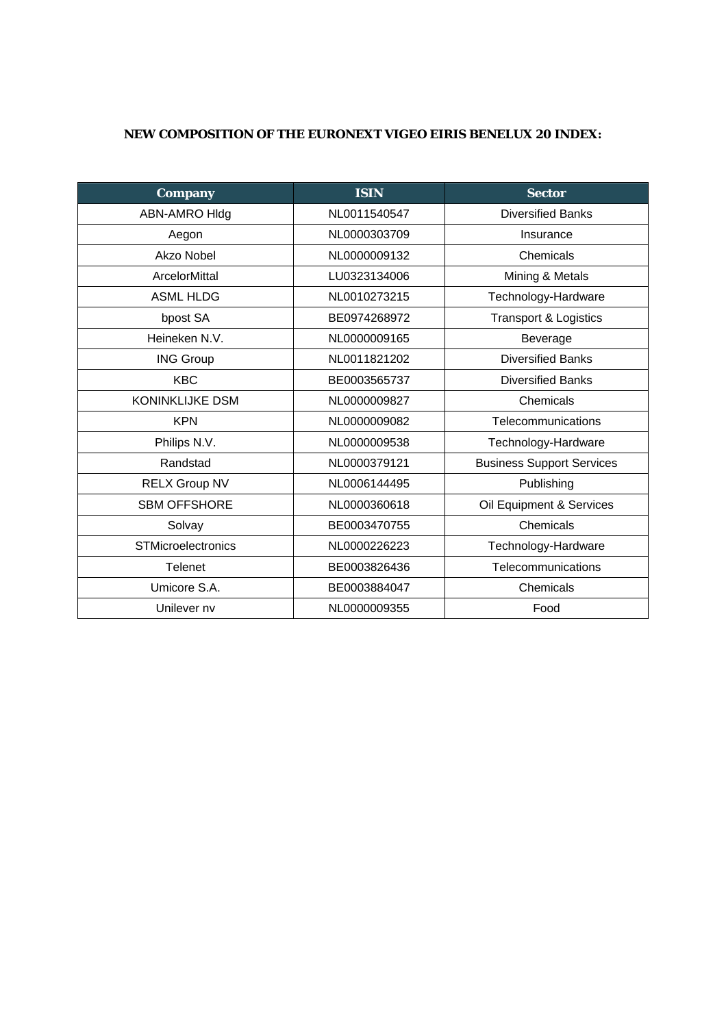## **NEW COMPOSITION OF THE EURONEXT VIGEO EIRIS BENELUX 20 INDEX:**

| <b>Company</b>            | <b>ISIN</b>  | <b>Sector</b>                    |
|---------------------------|--------------|----------------------------------|
| ABN-AMRO HIdg             | NL0011540547 | <b>Diversified Banks</b>         |
| Aegon                     | NL0000303709 | Insurance                        |
| Akzo Nobel                | NL0000009132 | Chemicals                        |
| ArcelorMittal             | LU0323134006 | Mining & Metals                  |
| <b>ASML HLDG</b>          | NL0010273215 | Technology-Hardware              |
| bpost SA                  | BE0974268972 | <b>Transport &amp; Logistics</b> |
| Heineken N.V.             | NL0000009165 | Beverage                         |
| <b>ING Group</b>          | NL0011821202 | <b>Diversified Banks</b>         |
| <b>KBC</b>                | BE0003565737 | <b>Diversified Banks</b>         |
| <b>KONINKLIJKE DSM</b>    | NL0000009827 | Chemicals                        |
| <b>KPN</b>                | NL0000009082 | Telecommunications               |
| Philips N.V.              | NL0000009538 | Technology-Hardware              |
| Randstad                  | NL0000379121 | <b>Business Support Services</b> |
| <b>RELX Group NV</b>      | NL0006144495 | Publishing                       |
| <b>SBM OFFSHORE</b>       | NL0000360618 | Oil Equipment & Services         |
| Solvay                    | BE0003470755 | Chemicals                        |
| <b>STMicroelectronics</b> | NL0000226223 | Technology-Hardware              |
| Telenet                   | BE0003826436 | Telecommunications               |
| Umicore S.A.              | BE0003884047 | Chemicals                        |
| Unilever nv               | NL0000009355 | Food                             |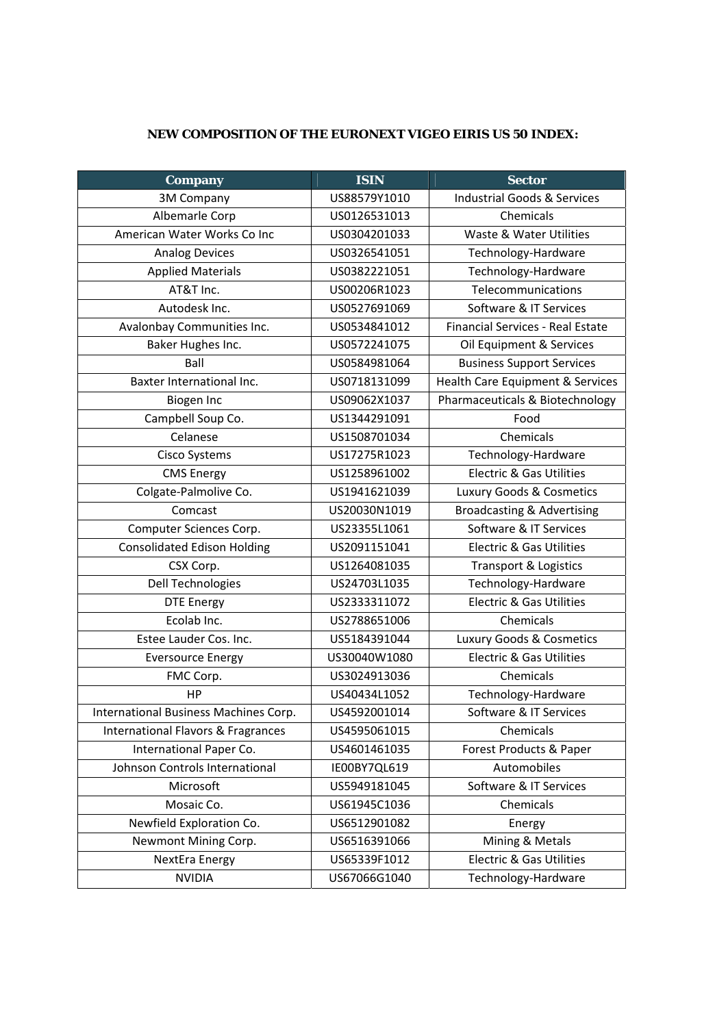## **NEW COMPOSITION OF THE EURONEXT VIGEO EIRIS US 50 INDEX:**

| <b>Company</b>                                | <b>ISIN</b>  | <b>Sector</b>                          |
|-----------------------------------------------|--------------|----------------------------------------|
| 3M Company                                    | US88579Y1010 | <b>Industrial Goods &amp; Services</b> |
| Albemarle Corp                                | US0126531013 | Chemicals                              |
| American Water Works Co Inc                   | US0304201033 | Waste & Water Utilities                |
| <b>Analog Devices</b>                         | US0326541051 | Technology-Hardware                    |
| <b>Applied Materials</b>                      | US0382221051 | Technology-Hardware                    |
| AT&T Inc.                                     | US00206R1023 | Telecommunications                     |
| Autodesk Inc.                                 | US0527691069 | Software & IT Services                 |
| Avalonbay Communities Inc.                    | US0534841012 | Financial Services - Real Estate       |
| Baker Hughes Inc.                             | US0572241075 | Oil Equipment & Services               |
| Ball                                          | US0584981064 | <b>Business Support Services</b>       |
| Baxter International Inc.                     | US0718131099 | Health Care Equipment & Services       |
| Biogen Inc                                    | US09062X1037 | Pharmaceuticals & Biotechnology        |
| Campbell Soup Co.                             | US1344291091 | Food                                   |
| Celanese                                      | US1508701034 | Chemicals                              |
| Cisco Systems                                 | US17275R1023 | Technology-Hardware                    |
| <b>CMS Energy</b>                             | US1258961002 | <b>Electric &amp; Gas Utilities</b>    |
| Colgate-Palmolive Co.                         | US1941621039 | Luxury Goods & Cosmetics               |
| Comcast                                       | US20030N1019 | <b>Broadcasting &amp; Advertising</b>  |
| Computer Sciences Corp.                       | US23355L1061 | Software & IT Services                 |
| <b>Consolidated Edison Holding</b>            | US2091151041 | <b>Electric &amp; Gas Utilities</b>    |
| CSX Corp.                                     | US1264081035 | Transport & Logistics                  |
| Dell Technologies                             | US24703L1035 | Technology-Hardware                    |
| <b>DTE Energy</b>                             | US2333311072 | <b>Electric &amp; Gas Utilities</b>    |
| Ecolab Inc.                                   | US2788651006 | Chemicals                              |
| Estee Lauder Cos. Inc.                        | US5184391044 | Luxury Goods & Cosmetics               |
| <b>Eversource Energy</b>                      | US30040W1080 | <b>Electric &amp; Gas Utilities</b>    |
| FMC Corp.                                     | US3024913036 | Chemicals                              |
| HP                                            | US40434L1052 | Technology-Hardware                    |
| International Business Machines Corp.         | US4592001014 | Software & IT Services                 |
| <b>International Flavors &amp; Fragrances</b> | US4595061015 | Chemicals                              |
| International Paper Co.                       | US4601461035 | Forest Products & Paper                |
| Johnson Controls International                | IE00BY7QL619 | Automobiles                            |
| Microsoft                                     | US5949181045 | Software & IT Services                 |
| Mosaic Co.                                    | US61945C1036 | Chemicals                              |
| Newfield Exploration Co.                      | US6512901082 | Energy                                 |
| Newmont Mining Corp.                          | US6516391066 | Mining & Metals                        |
| NextEra Energy                                | US65339F1012 | Electric & Gas Utilities               |
| <b>NVIDIA</b>                                 | US67066G1040 | Technology-Hardware                    |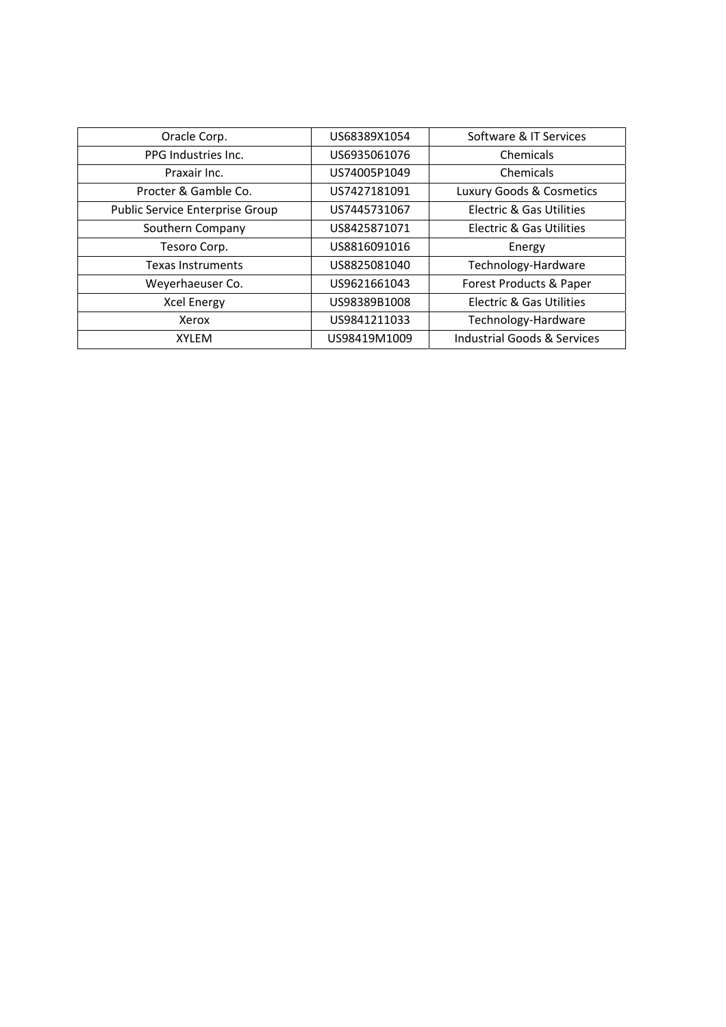| Oracle Corp.                    | US68389X1054 | Software & IT Services      |
|---------------------------------|--------------|-----------------------------|
| PPG Industries Inc.             | US6935061076 | Chemicals                   |
| Praxair Inc.                    | US74005P1049 | Chemicals                   |
| Procter & Gamble Co.            | US7427181091 | Luxury Goods & Cosmetics    |
| Public Service Enterprise Group | US7445731067 | Electric & Gas Utilities    |
| Southern Company                | US8425871071 | Electric & Gas Utilities    |
| Tesoro Corp.                    | US8816091016 | Energy                      |
| Texas Instruments               | US8825081040 | Technology-Hardware         |
| Weyerhaeuser Co.                | US9621661043 | Forest Products & Paper     |
| <b>Xcel Energy</b>              | US98389B1008 | Electric & Gas Utilities    |
| Xerox                           | US9841211033 | Technology-Hardware         |
| <b>XYLEM</b>                    | US98419M1009 | Industrial Goods & Services |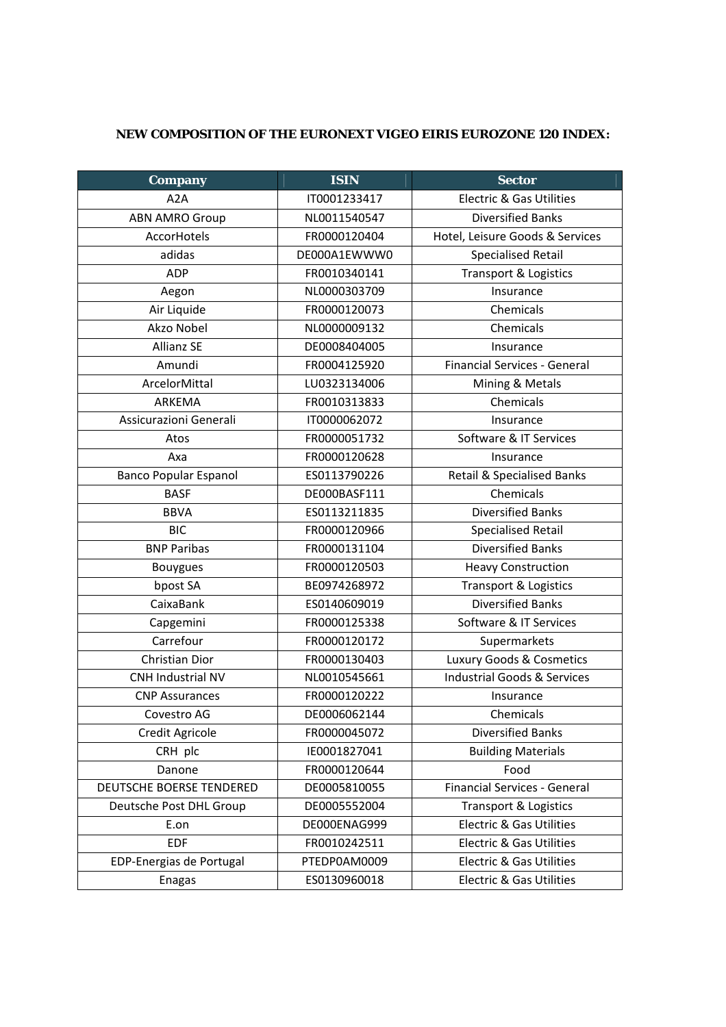### **NEW COMPOSITION OF THE EURONEXT VIGEO EIRIS EUROZONE 120 INDEX:**

| <b>Company</b>               | <b>ISIN</b>  | <b>Sector</b>                          |
|------------------------------|--------------|----------------------------------------|
| A2A                          | IT0001233417 | <b>Electric &amp; Gas Utilities</b>    |
| <b>ABN AMRO Group</b>        | NL0011540547 | <b>Diversified Banks</b>               |
| AccorHotels                  | FR0000120404 | Hotel, Leisure Goods & Services        |
| adidas                       | DE000A1EWWW0 | <b>Specialised Retail</b>              |
| <b>ADP</b>                   | FR0010340141 | Transport & Logistics                  |
| Aegon                        | NL0000303709 | Insurance                              |
| Air Liquide                  | FR0000120073 | Chemicals                              |
| Akzo Nobel                   | NL0000009132 | Chemicals                              |
| <b>Allianz SE</b>            | DE0008404005 | Insurance                              |
| Amundi                       | FR0004125920 | <b>Financial Services - General</b>    |
| ArcelorMittal                | LU0323134006 | Mining & Metals                        |
| ARKEMA                       | FR0010313833 | Chemicals                              |
| Assicurazioni Generali       | IT0000062072 | Insurance                              |
| Atos                         | FR0000051732 | Software & IT Services                 |
| Axa                          | FR0000120628 | Insurance                              |
| <b>Banco Popular Espanol</b> | ES0113790226 | Retail & Specialised Banks             |
| <b>BASF</b>                  | DE000BASF111 | Chemicals                              |
| <b>BBVA</b>                  | ES0113211835 | <b>Diversified Banks</b>               |
| <b>BIC</b>                   | FR0000120966 | Specialised Retail                     |
| <b>BNP Paribas</b>           | FR0000131104 | <b>Diversified Banks</b>               |
| Bouygues                     | FR0000120503 | <b>Heavy Construction</b>              |
| bpost SA                     | BE0974268972 | <b>Transport &amp; Logistics</b>       |
| CaixaBank                    | ES0140609019 | <b>Diversified Banks</b>               |
| Capgemini                    | FR0000125338 | Software & IT Services                 |
| Carrefour                    | FR0000120172 | Supermarkets                           |
| Christian Dior               | FR0000130403 | Luxury Goods & Cosmetics               |
| CNH Industrial NV            | NL0010545661 | <b>Industrial Goods &amp; Services</b> |
| <b>CNP Assurances</b>        | FR0000120222 | Insurance                              |
| Covestro AG                  | DE0006062144 | Chemicals                              |
| Credit Agricole              | FR0000045072 | <b>Diversified Banks</b>               |
| CRH plc                      | IE0001827041 | <b>Building Materials</b>              |
| Danone                       | FR0000120644 | Food                                   |
| DEUTSCHE BOERSE TENDERED     | DE0005810055 | <b>Financial Services - General</b>    |
| Deutsche Post DHL Group      | DE0005552004 | Transport & Logistics                  |
| E.on                         | DE000ENAG999 | <b>Electric &amp; Gas Utilities</b>    |
| <b>EDF</b>                   | FR0010242511 | <b>Electric &amp; Gas Utilities</b>    |
| EDP-Energias de Portugal     | PTEDP0AM0009 | <b>Electric &amp; Gas Utilities</b>    |
| <b>Enagas</b>                | ES0130960018 | <b>Electric &amp; Gas Utilities</b>    |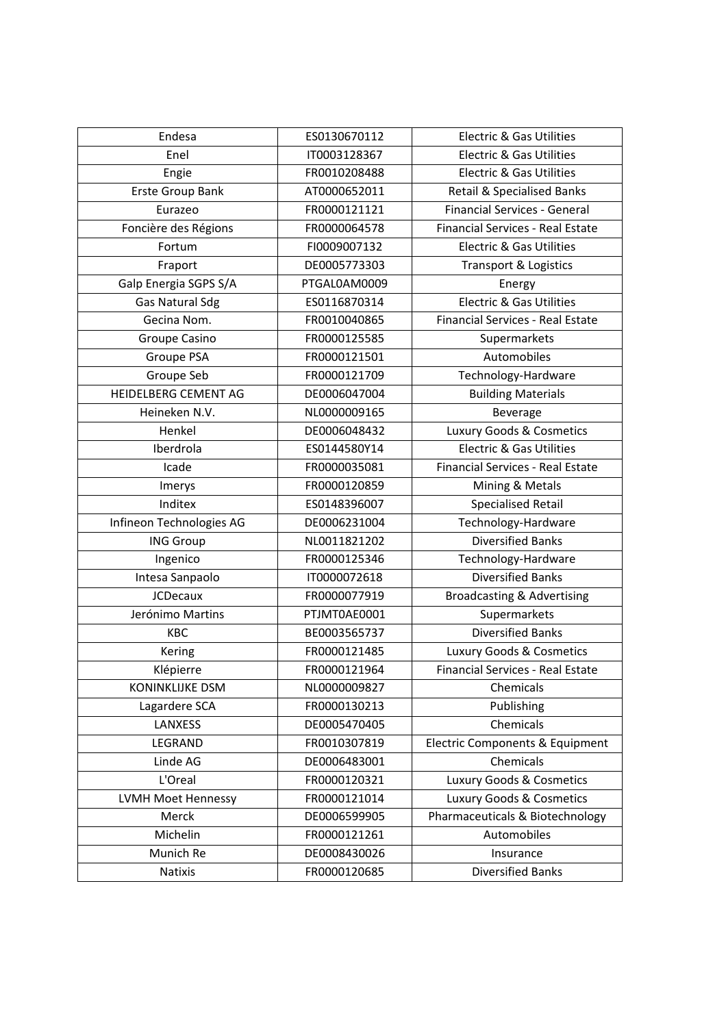| Endesa                   | ES0130670112 | <b>Electric &amp; Gas Utilities</b>     |
|--------------------------|--------------|-----------------------------------------|
| Enel                     | IT0003128367 | <b>Electric &amp; Gas Utilities</b>     |
| Engie                    | FR0010208488 | <b>Electric &amp; Gas Utilities</b>     |
| Erste Group Bank         | AT0000652011 | <b>Retail &amp; Specialised Banks</b>   |
| Eurazeo                  | FR0000121121 | <b>Financial Services - General</b>     |
| Foncière des Régions     | FR0000064578 | <b>Financial Services - Real Estate</b> |
| Fortum                   | FI0009007132 | <b>Electric &amp; Gas Utilities</b>     |
| Fraport                  | DE0005773303 | <b>Transport &amp; Logistics</b>        |
| Galp Energia SGPS S/A    | PTGAL0AM0009 | Energy                                  |
| Gas Natural Sdg          | ES0116870314 | <b>Electric &amp; Gas Utilities</b>     |
| Gecina Nom.              | FR0010040865 | Financial Services - Real Estate        |
| Groupe Casino            | FR0000125585 | Supermarkets                            |
| Groupe PSA               | FR0000121501 | Automobiles                             |
| Groupe Seb               | FR0000121709 | Technology-Hardware                     |
| HEIDELBERG CEMENT AG     | DE0006047004 | <b>Building Materials</b>               |
| Heineken N.V.            | NL0000009165 | Beverage                                |
| Henkel                   | DE0006048432 | Luxury Goods & Cosmetics                |
| Iberdrola                | ES0144580Y14 | <b>Electric &amp; Gas Utilities</b>     |
| Icade                    | FR0000035081 | <b>Financial Services - Real Estate</b> |
| Imerys                   | FR0000120859 | Mining & Metals                         |
| Inditex                  | ES0148396007 | <b>Specialised Retail</b>               |
| Infineon Technologies AG | DE0006231004 | Technology-Hardware                     |
| <b>ING Group</b>         | NL0011821202 | <b>Diversified Banks</b>                |
| Ingenico                 | FR0000125346 | Technology-Hardware                     |
| Intesa Sanpaolo          | IT0000072618 | <b>Diversified Banks</b>                |
| <b>JCDecaux</b>          | FR0000077919 | Broadcasting & Advertising              |
| Jerónimo Martins         | PTJMT0AE0001 | Supermarkets                            |
| KBC                      | BE0003565737 | <b>Diversified Banks</b>                |
| Kering                   | FR0000121485 | Luxury Goods & Cosmetics                |
| Klépierre                | FR0000121964 | <b>Financial Services - Real Estate</b> |
| <b>KONINKLIJKE DSM</b>   | NL0000009827 | Chemicals                               |
| Lagardere SCA            | FR0000130213 | Publishing                              |
| LANXESS                  | DE0005470405 | Chemicals                               |
| LEGRAND                  | FR0010307819 | Electric Components & Equipment         |
| Linde AG                 | DE0006483001 | Chemicals                               |
| L'Oreal                  | FR0000120321 | Luxury Goods & Cosmetics                |
| LVMH Moet Hennessy       | FR0000121014 | Luxury Goods & Cosmetics                |
| Merck                    | DE0006599905 | Pharmaceuticals & Biotechnology         |
| Michelin                 | FR0000121261 | Automobiles                             |
| Munich Re                | DE0008430026 | Insurance                               |
| Natixis                  | FR0000120685 | <b>Diversified Banks</b>                |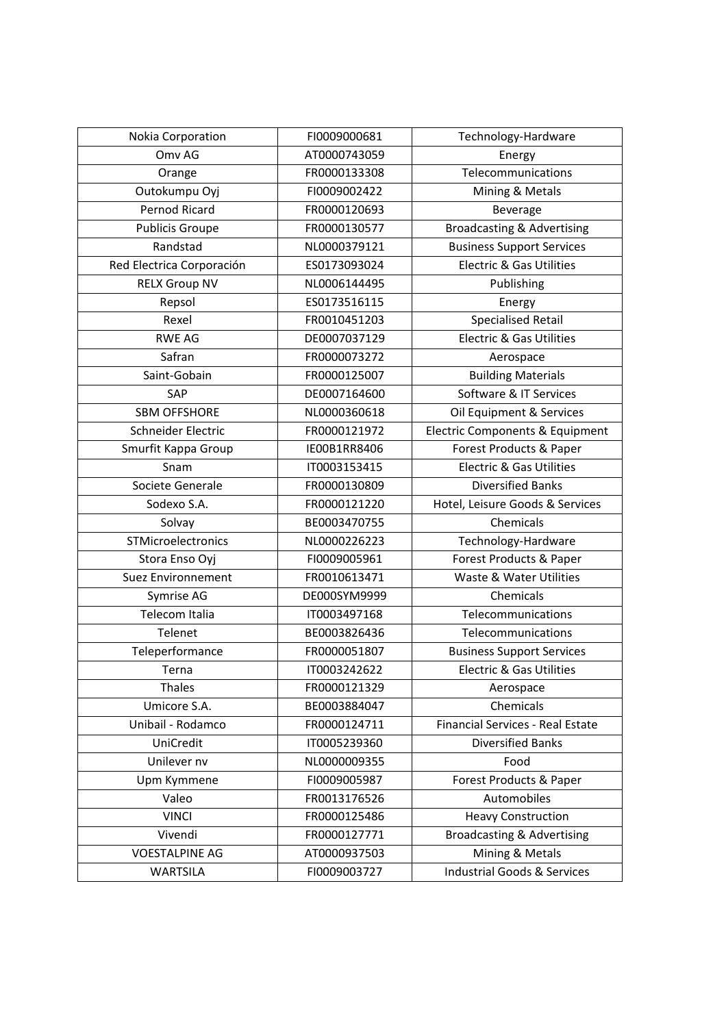| Nokia Corporation         | FI0009000681 | Technology-Hardware                    |
|---------------------------|--------------|----------------------------------------|
| Omv AG                    | AT0000743059 | Energy                                 |
| Orange                    | FR0000133308 | Telecommunications                     |
| Outokumpu Oyj             | FI0009002422 | Mining & Metals                        |
| <b>Pernod Ricard</b>      | FR0000120693 | Beverage                               |
| <b>Publicis Groupe</b>    | FR0000130577 | <b>Broadcasting &amp; Advertising</b>  |
| Randstad                  | NL0000379121 | <b>Business Support Services</b>       |
| Red Electrica Corporación | ES0173093024 | <b>Electric &amp; Gas Utilities</b>    |
| <b>RELX Group NV</b>      | NL0006144495 | Publishing                             |
| Repsol                    | ES0173516115 | Energy                                 |
| Rexel                     | FR0010451203 | <b>Specialised Retail</b>              |
| <b>RWE AG</b>             | DE0007037129 | <b>Electric &amp; Gas Utilities</b>    |
| Safran                    | FR0000073272 | Aerospace                              |
| Saint-Gobain              | FR0000125007 | <b>Building Materials</b>              |
| SAP                       | DE0007164600 | Software & IT Services                 |
| <b>SBM OFFSHORE</b>       | NL0000360618 | Oil Equipment & Services               |
| Schneider Electric        | FR0000121972 | Electric Components & Equipment        |
| Smurfit Kappa Group       | IE00B1RR8406 | Forest Products & Paper                |
| Snam                      | IT0003153415 | <b>Electric &amp; Gas Utilities</b>    |
| Societe Generale          | FR0000130809 | <b>Diversified Banks</b>               |
| Sodexo S.A.               | FR0000121220 | Hotel, Leisure Goods & Services        |
| Solvay                    | BE0003470755 | Chemicals                              |
| STMicroelectronics        | NL0000226223 | Technology-Hardware                    |
| Stora Enso Oyj            | FI0009005961 | Forest Products & Paper                |
| Suez Environnement        | FR0010613471 | Waste & Water Utilities                |
| Symrise AG                | DE000SYM9999 | Chemicals                              |
| Telecom Italia            | IT0003497168 | Telecommunications                     |
| Telenet                   | BE0003826436 | Telecommunications                     |
| Teleperformance           | FR0000051807 | <b>Business Support Services</b>       |
| Terna                     | IT0003242622 | <b>Electric &amp; Gas Utilities</b>    |
| Thales                    | FR0000121329 | Aerospace                              |
| Umicore S.A.              | BE0003884047 | Chemicals                              |
| Unibail - Rodamco         | FR0000124711 | Financial Services - Real Estate       |
| UniCredit                 | IT0005239360 | <b>Diversified Banks</b>               |
| Unilever nv               | NL0000009355 | Food                                   |
| Upm Kymmene               | FI0009005987 | Forest Products & Paper                |
| Valeo                     | FR0013176526 | Automobiles                            |
| <b>VINCI</b>              | FR0000125486 | <b>Heavy Construction</b>              |
| Vivendi                   | FR0000127771 | <b>Broadcasting &amp; Advertising</b>  |
| <b>VOESTALPINE AG</b>     | AT0000937503 | Mining & Metals                        |
| <b>WARTSILA</b>           | FI0009003727 | <b>Industrial Goods &amp; Services</b> |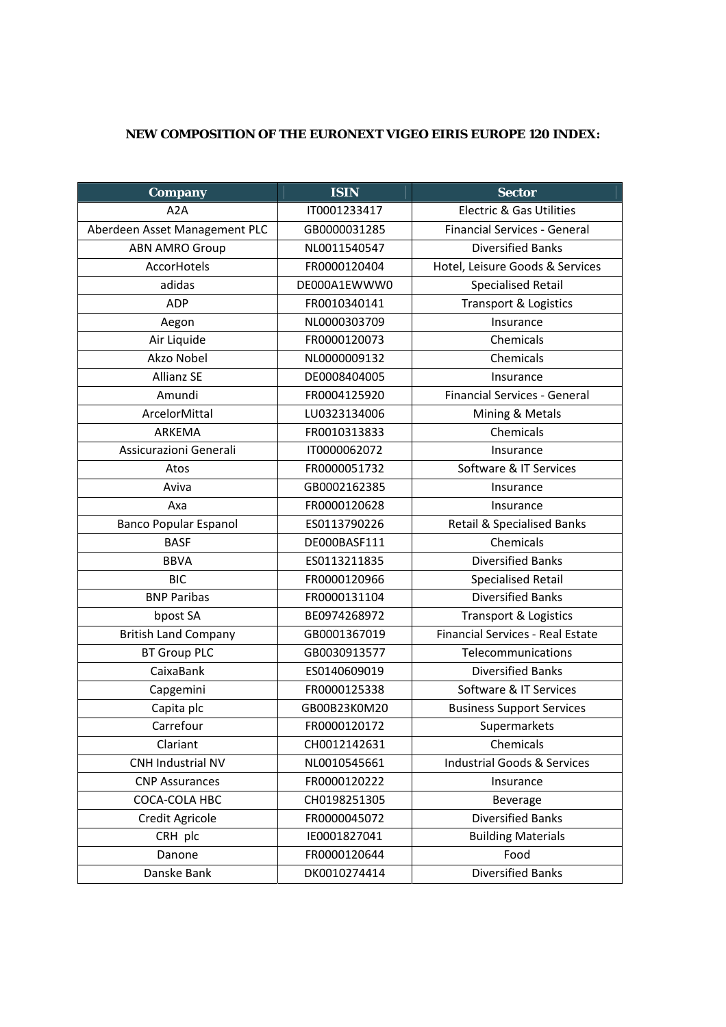## **NEW COMPOSITION OF THE EURONEXT VIGEO EIRIS EUROPE 120 INDEX:**

| <b>Company</b>                | <b>ISIN</b>  | <b>Sector</b>                           |
|-------------------------------|--------------|-----------------------------------------|
| A <sub>2</sub> A              | IT0001233417 | <b>Electric &amp; Gas Utilities</b>     |
| Aberdeen Asset Management PLC | GB0000031285 | <b>Financial Services - General</b>     |
| <b>ABN AMRO Group</b>         | NL0011540547 | <b>Diversified Banks</b>                |
| AccorHotels                   | FR0000120404 | Hotel, Leisure Goods & Services         |
| adidas                        | DE000A1EWWW0 | <b>Specialised Retail</b>               |
| <b>ADP</b>                    | FR0010340141 | <b>Transport &amp; Logistics</b>        |
| Aegon                         | NL0000303709 | Insurance                               |
| Air Liquide                   | FR0000120073 | Chemicals                               |
| Akzo Nobel                    | NL0000009132 | Chemicals                               |
| <b>Allianz SE</b>             | DE0008404005 | Insurance                               |
| Amundi                        | FR0004125920 | <b>Financial Services - General</b>     |
| ArcelorMittal                 | LU0323134006 | Mining & Metals                         |
| ARKEMA                        | FR0010313833 | Chemicals                               |
| Assicurazioni Generali        | IT0000062072 | Insurance                               |
| Atos                          | FR0000051732 | Software & IT Services                  |
| Aviva                         | GB0002162385 | Insurance                               |
| Axa                           | FR0000120628 | Insurance                               |
| <b>Banco Popular Espanol</b>  | ES0113790226 | <b>Retail &amp; Specialised Banks</b>   |
| <b>BASF</b>                   | DE000BASF111 | Chemicals                               |
| <b>BBVA</b>                   | ES0113211835 | <b>Diversified Banks</b>                |
| <b>BIC</b>                    | FR0000120966 | <b>Specialised Retail</b>               |
| <b>BNP Paribas</b>            | FR0000131104 | <b>Diversified Banks</b>                |
| bpost SA                      | BE0974268972 | Transport & Logistics                   |
| <b>British Land Company</b>   | GB0001367019 | <b>Financial Services - Real Estate</b> |
| <b>BT Group PLC</b>           | GB0030913577 | Telecommunications                      |
| CaixaBank                     | ES0140609019 | <b>Diversified Banks</b>                |
| Capgemini                     | FR0000125338 | Software & IT Services                  |
| Capita plc                    | GB00B23K0M20 | <b>Business Support Services</b>        |
| Carrefour                     | FR0000120172 | Supermarkets                            |
| Clariant                      | CH0012142631 | Chemicals                               |
| CNH Industrial NV             | NL0010545661 | <b>Industrial Goods &amp; Services</b>  |
| <b>CNP Assurances</b>         | FR0000120222 | Insurance                               |
| COCA-COLA HBC                 | CH0198251305 | Beverage                                |
| Credit Agricole               | FR0000045072 | <b>Diversified Banks</b>                |
| CRH plc                       | IE0001827041 | <b>Building Materials</b>               |
| Danone                        | FR0000120644 | Food                                    |
| Danske Bank                   | DK0010274414 | <b>Diversified Banks</b>                |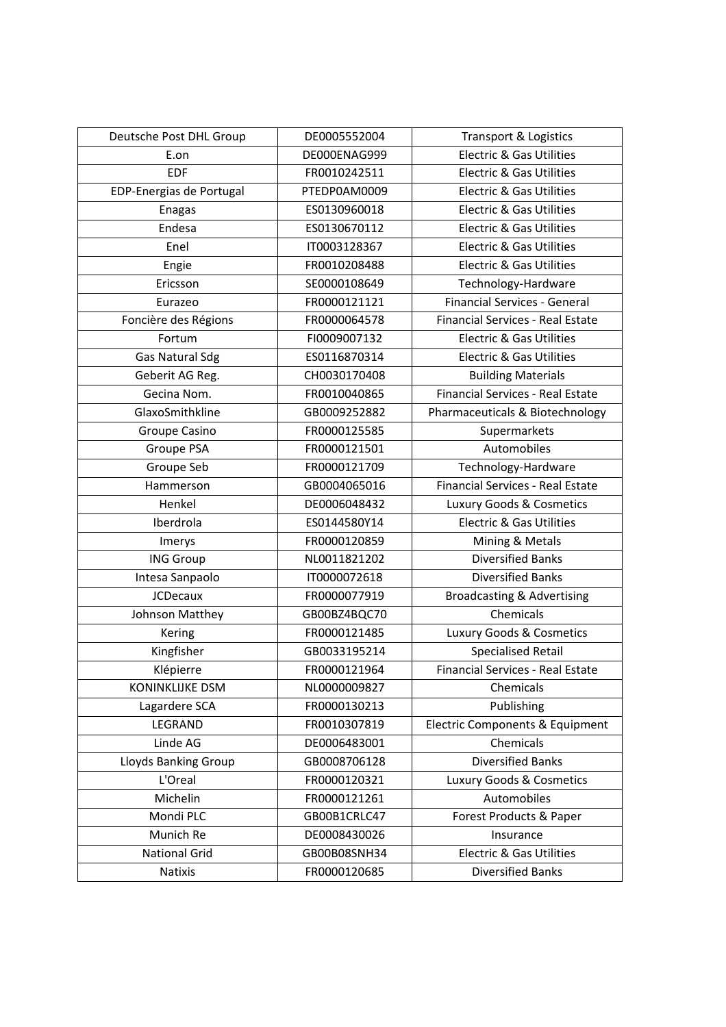| Deutsche Post DHL Group     | DE0005552004 | <b>Transport &amp; Logistics</b>           |
|-----------------------------|--------------|--------------------------------------------|
| E.on                        | DE000ENAG999 | <b>Electric &amp; Gas Utilities</b>        |
| <b>EDF</b>                  | FR0010242511 | <b>Electric &amp; Gas Utilities</b>        |
| EDP-Energias de Portugal    | PTEDP0AM0009 | <b>Electric &amp; Gas Utilities</b>        |
| Enagas                      | ES0130960018 | <b>Electric &amp; Gas Utilities</b>        |
| Endesa                      | ES0130670112 | <b>Electric &amp; Gas Utilities</b>        |
| Enel                        | IT0003128367 | <b>Electric &amp; Gas Utilities</b>        |
| Engie                       | FR0010208488 | <b>Electric &amp; Gas Utilities</b>        |
| Ericsson                    | SE0000108649 | Technology-Hardware                        |
| Eurazeo                     | FR0000121121 | <b>Financial Services - General</b>        |
| Foncière des Régions        | FR0000064578 | Financial Services - Real Estate           |
| Fortum                      | FI0009007132 | <b>Electric &amp; Gas Utilities</b>        |
| <b>Gas Natural Sdg</b>      | ES0116870314 | <b>Electric &amp; Gas Utilities</b>        |
| Geberit AG Reg.             | CH0030170408 | <b>Building Materials</b>                  |
| Gecina Nom.                 | FR0010040865 | Financial Services - Real Estate           |
| GlaxoSmithkline             | GB0009252882 | Pharmaceuticals & Biotechnology            |
| Groupe Casino               | FR0000125585 | Supermarkets                               |
| Groupe PSA                  | FR0000121501 | Automobiles                                |
| Groupe Seb                  | FR0000121709 | Technology-Hardware                        |
| Hammerson                   | GB0004065016 | <b>Financial Services - Real Estate</b>    |
| Henkel                      | DE0006048432 | Luxury Goods & Cosmetics                   |
| Iberdrola                   | ES0144580Y14 | <b>Electric &amp; Gas Utilities</b>        |
| Imerys                      | FR0000120859 | Mining & Metals                            |
| <b>ING Group</b>            | NL0011821202 | <b>Diversified Banks</b>                   |
| Intesa Sanpaolo             | IT0000072618 | <b>Diversified Banks</b>                   |
| <b>JCDecaux</b>             | FR0000077919 | Broadcasting & Advertising                 |
| Johnson Matthey             | GB00BZ4BQC70 | Chemicals                                  |
| Kering                      | FR0000121485 | Luxury Goods & Cosmetics                   |
| Kingfisher                  | GB0033195214 | <b>Specialised Retail</b>                  |
| Klépierre                   | FR0000121964 | Financial Services - Real Estate           |
| KONINKLIJKE DSM             | NL0000009827 | Chemicals                                  |
| Lagardere SCA               | FR0000130213 | Publishing                                 |
| LEGRAND                     | FR0010307819 | <b>Electric Components &amp; Equipment</b> |
| Linde AG                    | DE0006483001 | Chemicals                                  |
| <b>Lloyds Banking Group</b> | GB0008706128 | <b>Diversified Banks</b>                   |
| L'Oreal                     | FR0000120321 | Luxury Goods & Cosmetics                   |
| Michelin                    | FR0000121261 | Automobiles                                |
| Mondi PLC                   | GB00B1CRLC47 | Forest Products & Paper                    |
| Munich Re                   | DE0008430026 | Insurance                                  |
| <b>National Grid</b>        | GB00B08SNH34 | <b>Electric &amp; Gas Utilities</b>        |
| Natixis                     | FR0000120685 | <b>Diversified Banks</b>                   |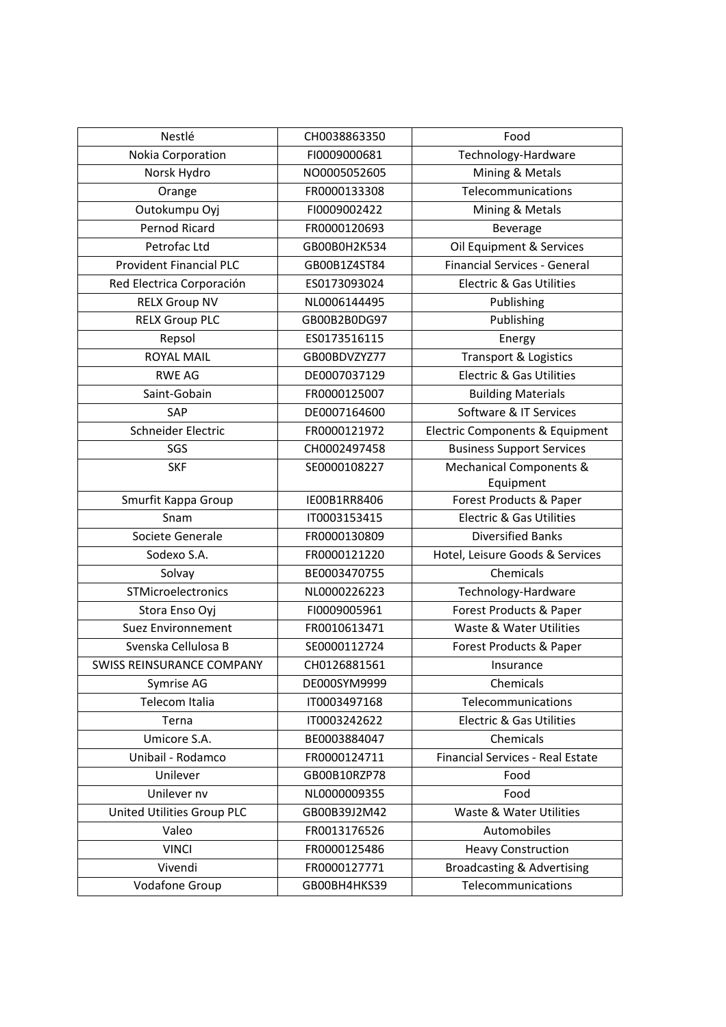| Nestlé                           | CH0038863350 | Food                                  |
|----------------------------------|--------------|---------------------------------------|
| Nokia Corporation                | FI0009000681 | Technology-Hardware                   |
| Norsk Hydro                      | NO0005052605 | Mining & Metals                       |
| Orange                           | FR0000133308 | Telecommunications                    |
| Outokumpu Oyj                    | FI0009002422 | Mining & Metals                       |
| Pernod Ricard                    | FR0000120693 | Beverage                              |
| Petrofac Ltd                     | GB00B0H2K534 | Oil Equipment & Services              |
| <b>Provident Financial PLC</b>   | GB00B1Z4ST84 | <b>Financial Services - General</b>   |
| Red Electrica Corporación        | ES0173093024 | <b>Electric &amp; Gas Utilities</b>   |
| <b>RELX Group NV</b>             | NL0006144495 | Publishing                            |
| <b>RELX Group PLC</b>            | GB00B2B0DG97 | Publishing                            |
| Repsol                           | ES0173516115 | Energy                                |
| <b>ROYAL MAIL</b>                | GB00BDVZYZ77 | Transport & Logistics                 |
| <b>RWE AG</b>                    | DE0007037129 | <b>Electric &amp; Gas Utilities</b>   |
| Saint-Gobain                     | FR0000125007 | <b>Building Materials</b>             |
| SAP                              | DE0007164600 | Software & IT Services                |
| Schneider Electric               | FR0000121972 | Electric Components & Equipment       |
| SGS                              | CH0002497458 | <b>Business Support Services</b>      |
| <b>SKF</b>                       | SE0000108227 | Mechanical Components &               |
|                                  |              | Equipment                             |
| Smurfit Kappa Group              | IE00B1RR8406 | Forest Products & Paper               |
| Snam                             | IT0003153415 | <b>Electric &amp; Gas Utilities</b>   |
| Societe Generale                 | FR0000130809 | <b>Diversified Banks</b>              |
| Sodexo S.A.                      | FR0000121220 | Hotel, Leisure Goods & Services       |
| Solvay                           | BE0003470755 | Chemicals                             |
| STMicroelectronics               | NL0000226223 | Technology-Hardware                   |
| Stora Enso Oyj                   | FI0009005961 | Forest Products & Paper               |
| <b>Suez Environnement</b>        | FR0010613471 | Waste & Water Utilities               |
| Svenska Cellulosa B              | SE0000112724 | Forest Products & Paper               |
| <b>SWISS REINSURANCE COMPANY</b> | CH0126881561 | Insurance                             |
| Symrise AG                       | DE000SYM9999 | Chemicals                             |
| Telecom Italia                   | IT0003497168 | Telecommunications                    |
| Terna                            | IT0003242622 | <b>Electric &amp; Gas Utilities</b>   |
| Umicore S.A.                     | BE0003884047 | Chemicals                             |
| Unibail - Rodamco                | FR0000124711 | Financial Services - Real Estate      |
| Unilever                         | GB00B10RZP78 | Food                                  |
| Unilever nv                      | NL0000009355 | Food                                  |
| United Utilities Group PLC       | GB00B39J2M42 | Waste & Water Utilities               |
| Valeo                            | FR0013176526 | Automobiles                           |
| <b>VINCI</b>                     | FR0000125486 | <b>Heavy Construction</b>             |
| Vivendi                          | FR0000127771 | <b>Broadcasting &amp; Advertising</b> |
| <b>Vodafone Group</b>            | GB00BH4HKS39 | Telecommunications                    |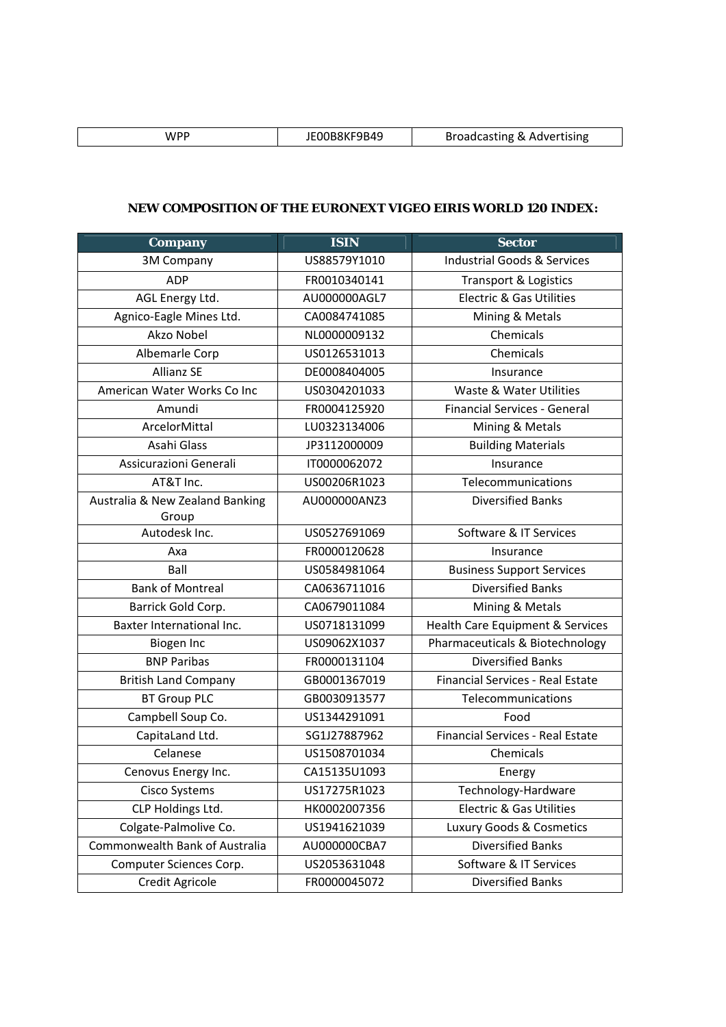| WPF | 9B49 | Broadcasting & Advertising |
|-----|------|----------------------------|

## **NEW COMPOSITION OF THE EURONEXT VIGEO EIRIS WORLD 120 INDEX:**

| <b>Company</b>                  | <b>ISIN</b>  | <b>Sector</b>                           |
|---------------------------------|--------------|-----------------------------------------|
| 3M Company                      | US88579Y1010 | <b>Industrial Goods &amp; Services</b>  |
| <b>ADP</b>                      | FR0010340141 | <b>Transport &amp; Logistics</b>        |
| AGL Energy Ltd.                 | AU000000AGL7 | <b>Electric &amp; Gas Utilities</b>     |
| Agnico-Eagle Mines Ltd.         | CA0084741085 | Mining & Metals                         |
| Akzo Nobel                      | NL0000009132 | Chemicals                               |
| Albemarle Corp                  | US0126531013 | Chemicals                               |
| <b>Allianz SE</b>               | DE0008404005 | Insurance                               |
| American Water Works Co Inc     | US0304201033 | Waste & Water Utilities                 |
| Amundi                          | FR0004125920 | <b>Financial Services - General</b>     |
| ArcelorMittal                   | LU0323134006 | Mining & Metals                         |
| Asahi Glass                     | JP3112000009 | <b>Building Materials</b>               |
| Assicurazioni Generali          | IT0000062072 | Insurance                               |
| AT&T Inc.                       | US00206R1023 | Telecommunications                      |
| Australia & New Zealand Banking | AU000000ANZ3 | <b>Diversified Banks</b>                |
| Group                           |              |                                         |
| Autodesk Inc.                   | US0527691069 | Software & IT Services                  |
| Axa                             | FR0000120628 | Insurance                               |
| Ball                            | US0584981064 | <b>Business Support Services</b>        |
| <b>Bank of Montreal</b>         | CA0636711016 | <b>Diversified Banks</b>                |
| Barrick Gold Corp.              | CA0679011084 | Mining & Metals                         |
| Baxter International Inc.       | US0718131099 | Health Care Equipment & Services        |
| Biogen Inc                      | US09062X1037 | Pharmaceuticals & Biotechnology         |
| <b>BNP Paribas</b>              | FR0000131104 | <b>Diversified Banks</b>                |
| <b>British Land Company</b>     | GB0001367019 | <b>Financial Services - Real Estate</b> |
| <b>BT Group PLC</b>             | GB0030913577 | Telecommunications                      |
| Campbell Soup Co.               | US1344291091 | Food                                    |
| CapitaLand Ltd.                 | SG1J27887962 | <b>Financial Services - Real Estate</b> |
| Celanese                        | US1508701034 | Chemicals                               |
| Cenovus Energy Inc.             | CA15135U1093 | Energy                                  |
| Cisco Systems                   | US17275R1023 | Technology-Hardware                     |
| CLP Holdings Ltd.               | HK0002007356 | <b>Electric &amp; Gas Utilities</b>     |
| Colgate-Palmolive Co.           | US1941621039 | Luxury Goods & Cosmetics                |
| Commonwealth Bank of Australia  | AU000000CBA7 | <b>Diversified Banks</b>                |
| Computer Sciences Corp.         | US2053631048 | Software & IT Services                  |
| <b>Credit Agricole</b>          | FR0000045072 | <b>Diversified Banks</b>                |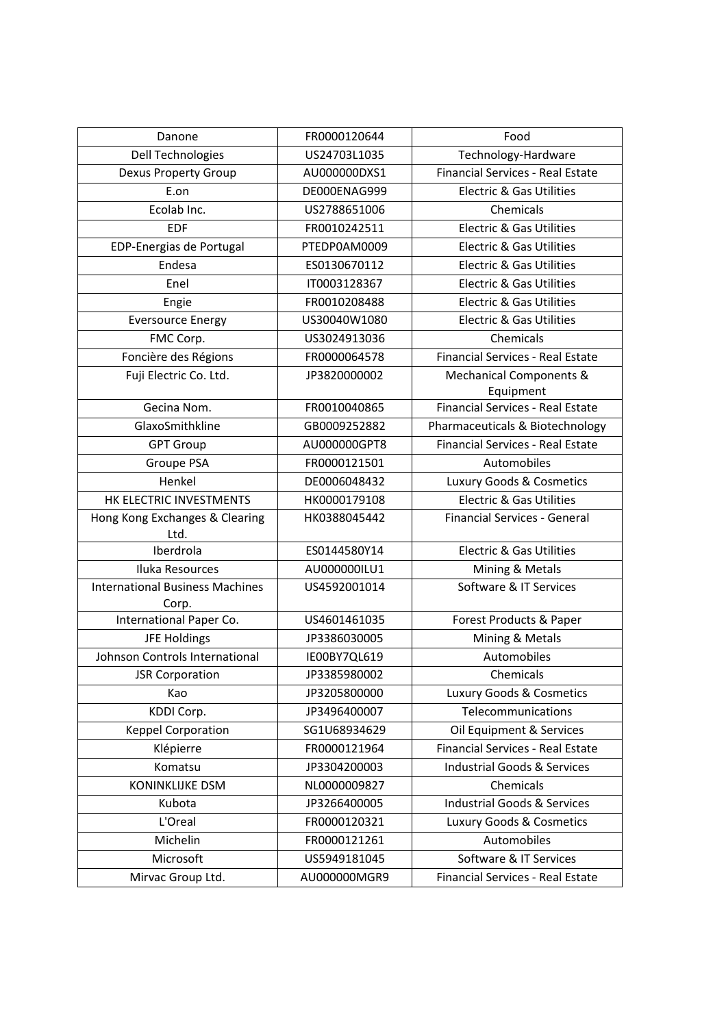| Danone                                          | FR0000120644 | Food                                    |
|-------------------------------------------------|--------------|-----------------------------------------|
| <b>Dell Technologies</b>                        | US24703L1035 | Technology-Hardware                     |
| <b>Dexus Property Group</b>                     | AU000000DXS1 | <b>Financial Services - Real Estate</b> |
| E.on                                            | DE000ENAG999 | Electric & Gas Utilities                |
| Ecolab Inc.                                     | US2788651006 | Chemicals                               |
| <b>EDF</b>                                      | FR0010242511 | <b>Electric &amp; Gas Utilities</b>     |
| EDP-Energias de Portugal                        | PTEDP0AM0009 | Electric & Gas Utilities                |
| Endesa                                          | ES0130670112 | <b>Electric &amp; Gas Utilities</b>     |
| Enel                                            | IT0003128367 | <b>Electric &amp; Gas Utilities</b>     |
| Engie                                           | FR0010208488 | <b>Electric &amp; Gas Utilities</b>     |
| <b>Eversource Energy</b>                        | US30040W1080 | <b>Electric &amp; Gas Utilities</b>     |
| FMC Corp.                                       | US3024913036 | Chemicals                               |
| Foncière des Régions                            | FR0000064578 | <b>Financial Services - Real Estate</b> |
| Fuji Electric Co. Ltd.                          | JP3820000002 | Mechanical Components &                 |
|                                                 |              | Equipment                               |
| Gecina Nom.                                     | FR0010040865 | <b>Financial Services - Real Estate</b> |
| GlaxoSmithkline                                 | GB0009252882 | Pharmaceuticals & Biotechnology         |
| <b>GPT Group</b>                                | AU000000GPT8 | <b>Financial Services - Real Estate</b> |
| Groupe PSA                                      | FR0000121501 | Automobiles                             |
| Henkel                                          | DE0006048432 | Luxury Goods & Cosmetics                |
| HK ELECTRIC INVESTMENTS                         | HK0000179108 | <b>Electric &amp; Gas Utilities</b>     |
| Hong Kong Exchanges & Clearing<br>Ltd.          | HK0388045442 | <b>Financial Services - General</b>     |
| Iberdrola                                       | ES0144580Y14 | <b>Electric &amp; Gas Utilities</b>     |
| Iluka Resources                                 | AU000000ILU1 | Mining & Metals                         |
| <b>International Business Machines</b><br>Corp. | US4592001014 | Software & IT Services                  |
| International Paper Co.                         | US4601461035 | Forest Products & Paper                 |
| <b>JFE Holdings</b>                             | JP3386030005 | Mining & Metals                         |
| Johnson Controls International                  | IE00BY7QL619 | Automobiles                             |
| <b>JSR Corporation</b>                          | JP3385980002 | Chemicals                               |
| Kao                                             | JP3205800000 | Luxury Goods & Cosmetics                |
| KDDI Corp.                                      | JP3496400007 | Telecommunications                      |
| <b>Keppel Corporation</b>                       | SG1U68934629 | Oil Equipment & Services                |
| Klépierre                                       | FR0000121964 | Financial Services - Real Estate        |
| Komatsu                                         | JP3304200003 | <b>Industrial Goods &amp; Services</b>  |
| KONINKLIJKE DSM                                 | NL0000009827 | Chemicals                               |
| Kubota                                          | JP3266400005 | <b>Industrial Goods &amp; Services</b>  |
| L'Oreal                                         | FR0000120321 | Luxury Goods & Cosmetics                |
| Michelin                                        | FR0000121261 | Automobiles                             |
| Microsoft                                       | US5949181045 | Software & IT Services                  |
| Mirvac Group Ltd.                               | AU000000MGR9 | Financial Services - Real Estate        |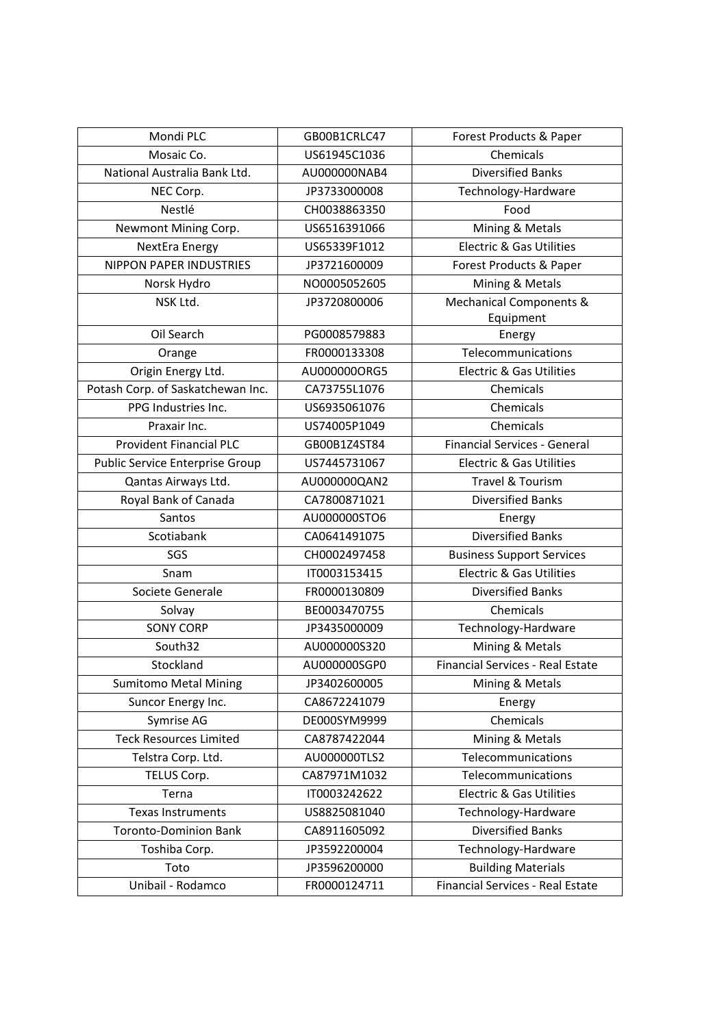| Mondi PLC                         | GB00B1CRLC47 | Forest Products & Paper                 |
|-----------------------------------|--------------|-----------------------------------------|
| Mosaic Co.                        | US61945C1036 | Chemicals                               |
| National Australia Bank Ltd.      | AU000000NAB4 | <b>Diversified Banks</b>                |
| NEC Corp.                         | JP3733000008 | Technology-Hardware                     |
| Nestlé                            | CH0038863350 | Food                                    |
| Newmont Mining Corp.              | US6516391066 | Mining & Metals                         |
| NextEra Energy                    | US65339F1012 | <b>Electric &amp; Gas Utilities</b>     |
| <b>NIPPON PAPER INDUSTRIES</b>    | JP3721600009 | Forest Products & Paper                 |
| Norsk Hydro                       | NO0005052605 | Mining & Metals                         |
| NSK Ltd.                          | JP3720800006 | Mechanical Components &                 |
|                                   |              | Equipment                               |
| Oil Search                        | PG0008579883 | Energy                                  |
| Orange                            | FR0000133308 | Telecommunications                      |
| Origin Energy Ltd.                | AU0000000RG5 | <b>Electric &amp; Gas Utilities</b>     |
| Potash Corp. of Saskatchewan Inc. | CA73755L1076 | Chemicals                               |
| PPG Industries Inc.               | US6935061076 | Chemicals                               |
| Praxair Inc.                      | US74005P1049 | Chemicals                               |
| <b>Provident Financial PLC</b>    | GB00B1Z4ST84 | <b>Financial Services - General</b>     |
| Public Service Enterprise Group   | US7445731067 | <b>Electric &amp; Gas Utilities</b>     |
| Qantas Airways Ltd.               | AU000000QAN2 | Travel & Tourism                        |
| Royal Bank of Canada              | CA7800871021 | <b>Diversified Banks</b>                |
| Santos                            | AU000000STO6 | Energy                                  |
| Scotiabank                        | CA0641491075 | <b>Diversified Banks</b>                |
| SGS                               | CH0002497458 | <b>Business Support Services</b>        |
| Snam                              | IT0003153415 | <b>Electric &amp; Gas Utilities</b>     |
| Societe Generale                  | FR0000130809 | <b>Diversified Banks</b>                |
| Solvay                            | BE0003470755 | Chemicals                               |
| <b>SONY CORP</b>                  | JP3435000009 | Technology-Hardware                     |
| South32                           | AU000000S320 | Mining & Metals                         |
| Stockland                         | AU000000SGP0 | <b>Financial Services - Real Estate</b> |
| <b>Sumitomo Metal Mining</b>      | JP3402600005 | Mining & Metals                         |
| Suncor Energy Inc.                | CA8672241079 | Energy                                  |
| Symrise AG                        | DE000SYM9999 | Chemicals                               |
| <b>Teck Resources Limited</b>     | CA8787422044 | Mining & Metals                         |
| Telstra Corp. Ltd.                | AU000000TLS2 | Telecommunications                      |
| TELUS Corp.                       | CA87971M1032 | Telecommunications                      |
| Terna                             | IT0003242622 | Electric & Gas Utilities                |
| Texas Instruments                 | US8825081040 | Technology-Hardware                     |
| <b>Toronto-Dominion Bank</b>      | CA8911605092 | <b>Diversified Banks</b>                |
| Toshiba Corp.                     | JP3592200004 | Technology-Hardware                     |
| Toto                              | JP3596200000 | <b>Building Materials</b>               |
| Unibail - Rodamco                 | FR0000124711 | Financial Services - Real Estate        |